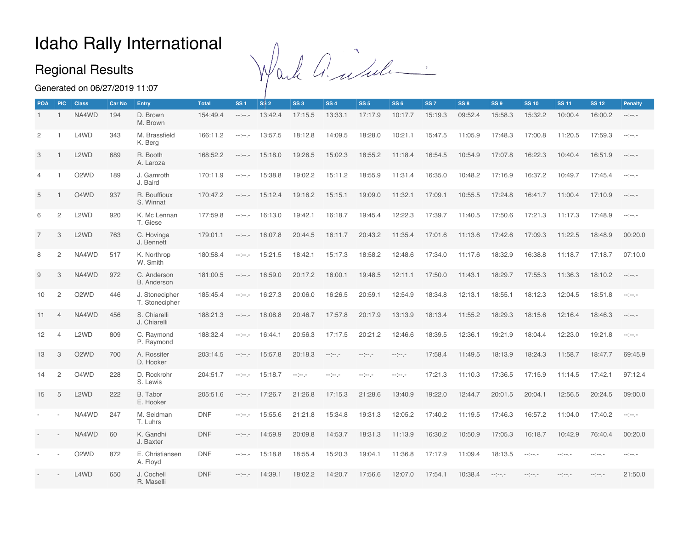## Idaho Rally International

#### Regional Results

Wark and Lule.

Generated on 06/27/2019 11:07

|                | <b>POA</b><br><b>PIC</b> | <b>Class</b>                  | Car No | Entry                             | <b>Total</b> | SS <sub>1</sub>      | <b>S\$2</b> | SS <sub>3</sub> | <b>SS4</b>   | SS <sub>5</sub> | SS <sub>6</sub>  | SS <sub>7</sub> | SS 8    | SS <sub>9</sub> | <b>SS 10</b>     | <b>SS 11</b> | <b>SS 12</b>     | Penalty                                                                                                                    |
|----------------|--------------------------|-------------------------------|--------|-----------------------------------|--------------|----------------------|-------------|-----------------|--------------|-----------------|------------------|-----------------|---------|-----------------|------------------|--------------|------------------|----------------------------------------------------------------------------------------------------------------------------|
| $\mathbf{1}$   | $\overline{1}$           | NA4WD                         | 194    | D. Brown<br>M. Brown              | 154:49.4     | $-1 - 1 - 1 - 1$     | 13:42.4     | 17:15.5         | 13:33.1      | 17:17.9         | 10:17.7          | 15:19.3         | 09:52.4 | 15:58.3         | 15:32.2          | 10:00.4      | 16:00.2          | $\label{eq:3.1} \begin{split} \mathcal{L}_{\mathcal{F}}(\mathcal{F}) = \mathcal{L}_{\mathcal{F}}(\mathcal{F}) \end{split}$ |
| 2              |                          | L4WD                          | 343    | M. Brassfield<br>K. Berg          | 166:11.2     | -----                | 13:57.5     | 18:12.8         | 14:09.5      | 18:28.0         | 10:21.1          | 15:47.5         | 11:05.9 | 17:48.3         | 17:00.8          | 11:20.5      | 17:59.3          | $-1000 - 1000$                                                                                                             |
| 3              |                          | L <sub>2</sub> W <sub>D</sub> | 689    | R. Booth<br>A. Laroza             | 168:52.2     | $-1 - 1 - 1 = 0$     | 15:18.0     | 19:26.5         | 15:02.3      | 18:55.2         | 11:18.4          | 16:54.5         | 10:54.9 | 17:07.8         | 16:22.3          | 10:40.4      | 16:51.9          | $\label{eq:3.1} \begin{split} \mathcal{L}_{\mathcal{F}}(x) = \mathcal{L}_{\mathcal{F}}(x) \end{split}$                     |
| $\overline{4}$ |                          | O <sub>2</sub> W <sub>D</sub> | 189    | J. Gamroth<br>J. Baird            | 170:11.9     | -----                | 15:38.8     | 19:02.2         | 15:11.2      | 18:55.9         | 11:31.4          | 16:35.0         | 10:48.2 | 17:16.9         | 16:37.2          | 10:49.7      | 17:45.4          | $\label{eq:2.1} \begin{split} \mathcal{L}^{\text{max}}(x) = \mathcal{L}^{\text{max}}(x) \end{split}$                       |
| 5              |                          | O4WD                          | 937    | R. Bouffioux<br>S. Winnat         | 170:47.2     | -----                | 15:12.4     | 19:16.2         | 15:15.1      | 19:09.0         | 11:32.1          | 17:09.1         | 10:55.5 | 17:24.8         | 16:41.7          | 11:00.4      | 17:10.9          | $\label{eq:3.1} \begin{split} \mathcal{L}_{\mathcal{F}}(x) = \mathcal{L}_{\mathcal{F}}(x) \end{split}$                     |
| 6              | $\overline{c}$           | L <sub>2</sub> W <sub>D</sub> | 920    | K. Mc Lennan<br>T. Giese          | 177:59.8     | -----                | 16:13.0     | 19:42.1         | 16:18.7      | 19:45.4         | 12:22.3          | 17:39.7         | 11:40.5 | 17:50.6         | 17:21.3          | 11:17.3      | 17:48.9          | $-100 - 100$                                                                                                               |
| $\overline{7}$ | 3                        | L <sub>2</sub> W <sub>D</sub> | 763    | C. Hovinga<br>J. Bennett          | 179:01.1     | -----                | 16:07.8     | 20:44.5         | 16:11.7      | 20:43.2         | 11:35.4          | 17:01.6         | 11:13.6 | 17:42.6         | 17:09.3          | 11:22.5      | 18:48.9          | 00:20.0                                                                                                                    |
| 8              | $\mathbf{2}$             | NA4WD                         | 517    | K. Northrop<br>W. Smith           | 180:58.4     | arian ja             | 15:21.5     | 18:42.1         | 15:17.3      | 18:58.2         | 12:48.6          | 17:34.0         | 11:17.6 | 18:32.9         | 16:38.8          | 11:18.7      | 17:18.7          | 07:10.0                                                                                                                    |
| 9              | 3                        | NA4WD                         | 972    | C. Anderson<br><b>B.</b> Anderson | 181:00.5     | $-1 - 1 - 1 - 1 = 0$ | 16:59.0     | 20:17.2         | 16:00.1      | 19:48.5         | 12:11.1          | 17:50.0         | 11:43.1 | 18:29.7         | 17:55.3          | 11:36.3      | 18:10.2          | $-100 - 100$                                                                                                               |
| 10             | $\overline{c}$           | O <sub>2</sub> W <sub>D</sub> | 446    | J. Stonecipher<br>T. Stonecipher  | 185:45.4     | -----                | 16:27.3     | 20:06.0         | 16:26.5      | 20:59.1         | 12:54.9          | 18:34.8         | 12:13.1 | 18:55.1         | 18:12.3          | 12:04.5      | 18:51.8          | $\label{eq:2.1} \begin{split} \mathcal{L}^{\text{max}}(x) = \mathcal{L}^{\text{max}}(x) \end{split}$                       |
| 11             | $\overline{4}$           | NA4WD                         | 456    | S. Chiarelli<br>J. Chiarelli      | 188:21.3     | $-1 - 1 - 1 = 0$     | 18:08.8     | 20:46.7         | 17:57.8      | 20:17.9         | 13:13.9          | 18:13.4         | 11:55.2 | 18:29.3         | 18:15.6          | 12:16.4      | 18:46.3          | $-100 - 100$                                                                                                               |
| 12             | $\overline{4}$           | L <sub>2</sub> W <sub>D</sub> | 809    | C. Raymond<br>P. Raymond          | 188:32.4     | -----                | 16:44.1     | 20:56.3         | 17:17.5      | 20:21.2         | 12:46.6          | 18:39.5         | 12:36.1 | 19:21.9         | 18:04.4          | 12:23.0      | 19:21.8          | enjenje                                                                                                                    |
| 13             | 3                        | O <sub>2</sub> W <sub>D</sub> | 700    | A. Rossiter<br>D. Hooker          | 203:14.5     | -----                | 15:57.8     | 20:18.3         | $-100 - 100$ | -----           | $-1 - 1 - 1 - 1$ | 17:58.4         | 11:49.5 | 18:13.9         | 18:24.3          | 11:58.7      | 18:47.7          | 69:45.9                                                                                                                    |
| 14             | $\mathbf{2}$             | O4WD                          | 228    | D. Rockrohr<br>S. Lewis           | 204:51.7     | erijenje.            | 15:18.7     | and and an      | ander pr     | $-100 - 100$    | $-100 - 100$     | 17:21.3         | 11:10.3 | 17:36.5         | 17:15.9          | 11:14.5      | 17:42.1          | 97:12.4                                                                                                                    |
| 15             | 5                        | L <sub>2</sub> W <sub>D</sub> | 222    | B. Tabor<br>E. Hooker             | 205:51.6     | -----                | 17:26.7     | 21:26.8         | 17:15.3      | 21:28.6         | 13:40.9          | 19:22.0         | 12:44.7 | 20:01.5         | 20:04.1          | 12:56.5      | 20:24.5          | 09:00.0                                                                                                                    |
|                |                          | NA4WD                         | 247    | M. Seidman<br>T. Luhrs            | <b>DNF</b>   | erijenje.            | 15:55.6     | 21:21.8         | 15:34.8      | 19:31.3         | 12:05.2          | 17:40.2         | 11:19.5 | 17:46.3         | 16:57.2          | 11:04.0      | 17:40.2          | $-100 - 100$                                                                                                               |
|                |                          | NA4WD                         | 60     | K. Gandhi<br>J. Baxter            | <b>DNF</b>   | -----                | 14:59.9     | 20:09.8         | 14:53.7      | 18:31.3         | 11:13.9          | 16:30.2         | 10:50.9 | 17:05.3         | 16:18.7          | 10:42.9      | 76:40.4          | 00:20.0                                                                                                                    |
|                |                          | O <sub>2</sub> W <sub>D</sub> | 872    | E. Christiansen<br>A. Floyd       | <b>DNF</b>   | $-1 - 1 - 1$         | 15:18.8     | 18:55.4         | 15:20.3      | 19:04.1         | 11:36.8          | 17:17.9         | 11:09.4 | 18:13.5         | $-1000 - 1000$   | $-100 - 100$ | -----            | -----                                                                                                                      |
|                |                          | L4WD                          | 650    | J. Cochell<br>R. Maselli          | <b>DNF</b>   | $-1 - 1 - 1 - 1$     | 14:39.1     | 18:02.2         | 14:20.7      | 17:56.6         | 12:07.0          | 17:54.1         | 10:38.4 | $-100 - 100$    | $-1 - 1 - 1 - 1$ | -----        | $-1 - 1 - 1 - 1$ | 21:50.0                                                                                                                    |